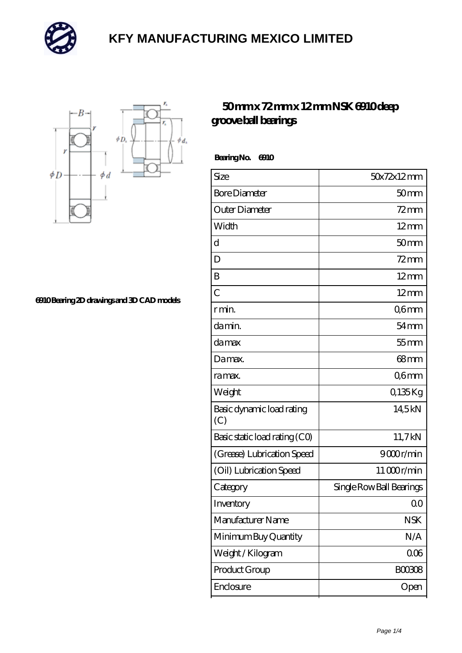



**[6910 Bearing 2D drawings and 3D CAD models](https://mailemotion.tv/pic-412468.html)**

#### **[50 mm x 72 mm x 12 mm NSK 6910 deep](https://mailemotion.tv/bh-412468-nsk-6910-deep-groove-ball-bearings.html) [groove ball bearings](https://mailemotion.tv/bh-412468-nsk-6910-deep-groove-ball-bearings.html)**

 **Bearing No. 6910**

| Size                             | 50x72x12mm               |
|----------------------------------|--------------------------|
| <b>Bore Diameter</b>             | 50 <sub>mm</sub>         |
| Outer Diameter                   | $72$ mm                  |
| Width                            | $12$ mm                  |
| d                                | 50 <sub>mm</sub>         |
| D                                | $72$ mm                  |
| B                                | $12 \text{mm}$           |
| $\overline{C}$                   | $12 \text{mm}$           |
| r min.                           | Q6mm                     |
| da min.                          | $54 \text{mm}$           |
| damax                            | $55$ mm                  |
| Damax.                           | $68$ mm                  |
| ra max.                          | Q6mm                     |
| Weight                           | Q135Kg                   |
| Basic dynamic load rating<br>(C) | 14,5kN                   |
| Basic static load rating (CO)    | 11,7kN                   |
| (Grease) Lubrication Speed       | 9000r/min                |
| (Oil) Lubrication Speed          | 11000r/min               |
| Category                         | Single Row Ball Bearings |
| Inventory                        | Q0                       |
| Manufacturer Name                | <b>NSK</b>               |
| Minimum Buy Quantity             | N/A                      |
| Weight /Kilogram                 | 006                      |
| Product Group                    | <b>BOO3O8</b>            |
| Enclosure                        | Open                     |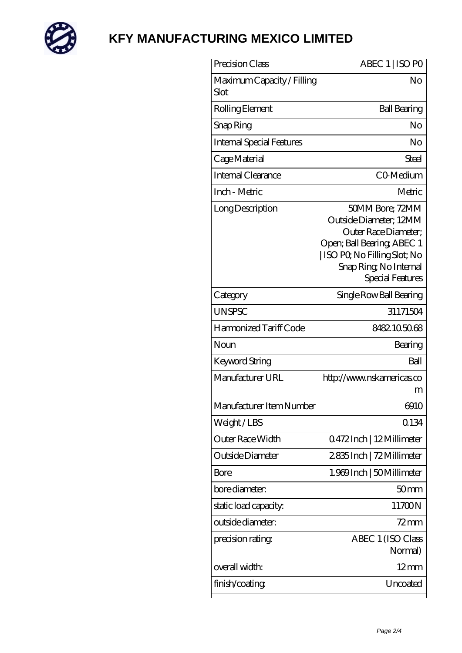

| Precision Class                    | ABEC 1   ISO PO                                                                                                                                                               |
|------------------------------------|-------------------------------------------------------------------------------------------------------------------------------------------------------------------------------|
| Maximum Capacity / Filling<br>Slot | No                                                                                                                                                                            |
| Rolling Element                    | <b>Ball Bearing</b>                                                                                                                                                           |
| Snap Ring                          | No                                                                                                                                                                            |
| <b>Internal Special Features</b>   | No                                                                                                                                                                            |
| Cage Material                      | <b>Steel</b>                                                                                                                                                                  |
| Internal Clearance                 | CO-Medium                                                                                                                                                                     |
| Inch - Metric                      | Metric                                                                                                                                                                        |
| Long Description                   | 50MM Bore; 72MM<br>Outside Diameter; 12MM<br>Outer Race Diameter;<br>Open; Ball Bearing; ABEC 1<br>  ISO PQ No Filling Slot; No<br>Snap Ring, No Internal<br>Special Features |
| Category                           | Single Row Ball Bearing                                                                                                                                                       |
| <b>UNSPSC</b>                      | 31171504                                                                                                                                                                      |
| Harmonized Tariff Code             | 8482105068                                                                                                                                                                    |
| Noun                               | Bearing                                                                                                                                                                       |
| <b>Keyword String</b>              | Ball                                                                                                                                                                          |
| Manufacturer URL                   | http://www.nskamericas.co<br>m                                                                                                                                                |
| Manufacturer Item Number           | 6910                                                                                                                                                                          |
| Weight/LBS                         | 0.134                                                                                                                                                                         |
| Outer Race Width                   | Q472Inch   12Millimeter                                                                                                                                                       |
| Outside Diameter                   | 2835Inch   72Millimeter                                                                                                                                                       |
| Bore                               | 1.969 Inch   50 Millimeter                                                                                                                                                    |
| bore diameter:                     | 50 <sub>mm</sub>                                                                                                                                                              |
| static load capacity.              | 11700N                                                                                                                                                                        |
| outside diameter:                  | 72mm                                                                                                                                                                          |
| precision rating                   | ABEC 1 (ISO Class<br>Normal)                                                                                                                                                  |
| overall width:                     | $12 \text{mm}$                                                                                                                                                                |
| finish/coating                     | Uncoated                                                                                                                                                                      |
|                                    |                                                                                                                                                                               |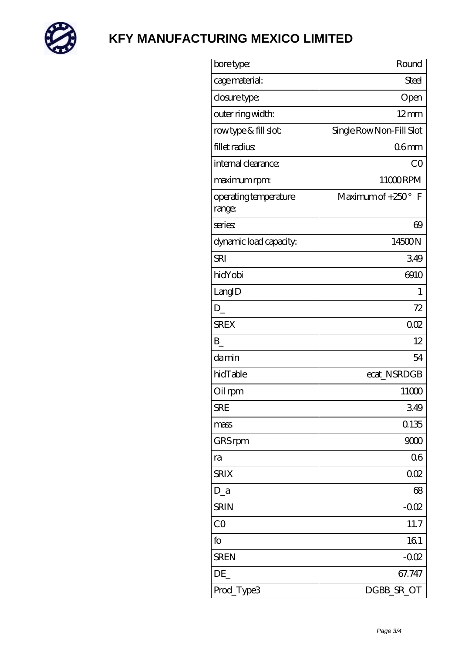

| bore type:                      | Round                     |
|---------------------------------|---------------------------|
| cage material:                  | <b>Steel</b>              |
| closure type:                   | Open                      |
| outer ring width:               | $12 \text{mm}$            |
| rowtype & fill slot:            | Single Row Non-Fill Slot  |
| fillet radius                   | 06 <sub>mm</sub>          |
| internal clearance:             | CO                        |
| maximum rpm:                    | 11000RPM                  |
| operating temperature<br>range: | Maximum of $+250^\circ$ F |
| series                          | $\Theta$                  |
| dynamic load capacity.          | 14500N                    |
| <b>SRI</b>                      | 349                       |
| hidYobi                         | 6910                      |
| LangID                          | 1                         |
| $D_{-}$                         | 72                        |
| <b>SREX</b>                     | 002                       |
| $\mathbf{B}$                    | 12                        |
| damin                           | 54                        |
| hidTable                        | ecat_NSRDGB               |
| Oil rpm                         | 11000                     |
| SRE                             | 349                       |
| mass                            | 0.135                     |
| GRS rpm                         | 9000                      |
| ra                              | 06                        |
| <b>SRIX</b>                     | 002                       |
| $D_a$                           | 68                        |
| <b>SRIN</b>                     | $-002$                    |
| CO                              | 11.7                      |
| fo                              | 161                       |
| <b>SREN</b>                     | $-002$                    |
| DE                              | 67.747                    |
| Prod_Type3                      | DGBB_SR_OT                |